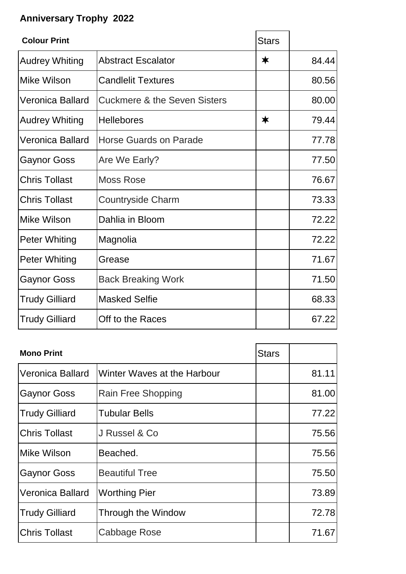## **Anniversary Trophy 2022**

| <b>Colour Print</b>     |                                         | <b>Stars</b> |       |
|-------------------------|-----------------------------------------|--------------|-------|
| <b>Audrey Whiting</b>   | <b>Abstract Escalator</b>               | ∗            | 84.44 |
| Mike Wilson             | <b>Candlelit Textures</b>               |              | 80.56 |
| <b>Veronica Ballard</b> | <b>Cuckmere &amp; the Seven Sisters</b> |              | 80.00 |
| <b>Audrey Whiting</b>   | <b>Hellebores</b>                       | ∗            | 79.44 |
| <b>Veronica Ballard</b> | Horse Guards on Parade                  |              | 77.78 |
| <b>Gaynor Goss</b>      | Are We Early?                           |              | 77.50 |
| <b>Chris Tollast</b>    | <b>Moss Rose</b>                        |              | 76.67 |
| <b>Chris Tollast</b>    | <b>Countryside Charm</b>                |              | 73.33 |
| <b>Mike Wilson</b>      | Dahlia in Bloom                         |              | 72.22 |
| <b>Peter Whiting</b>    | Magnolia                                |              | 72.22 |
| <b>Peter Whiting</b>    | Grease                                  |              | 71.67 |
| <b>Gaynor Goss</b>      | <b>Back Breaking Work</b>               |              | 71.50 |
| <b>Trudy Gilliard</b>   | <b>Masked Selfie</b>                    |              | 68.33 |
| <b>Trudy Gilliard</b>   | Off to the Races                        |              | 67.22 |

| <b>Mono Print</b>       |                             | <b>Stars</b> |       |
|-------------------------|-----------------------------|--------------|-------|
| <b>Veronica Ballard</b> | Winter Waves at the Harbour |              | 81.11 |
| <b>Gaynor Goss</b>      | Rain Free Shopping          |              | 81.00 |
| <b>Trudy Gilliard</b>   | <b>Tubular Bells</b>        |              | 77.22 |
| <b>Chris Tollast</b>    | J Russel & Co               |              | 75.56 |
| Mike Wilson             | Beached.                    |              | 75.56 |
| <b>Gaynor Goss</b>      | <b>Beautiful Tree</b>       |              | 75.50 |
| <b>Veronica Ballard</b> | <b>Worthing Pier</b>        |              | 73.89 |
| <b>Trudy Gilliard</b>   | Through the Window          |              | 72.78 |
| <b>Chris Tollast</b>    | Cabbage Rose                |              | 71.67 |